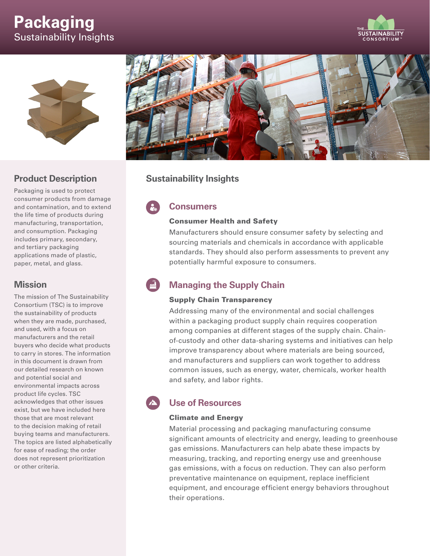# **Packaging** Sustainability Insights





### **Product Description**

Packaging is used to protect consumer products from damage and contamination, and to extend the life time of products during manufacturing, transportation, and consumption. Packaging includes primary, secondary, and tertiary packaging applications made of plastic, paper, metal, and glass.

### **Mission**

The mission of The Sustainability Consortium (TSC) is to improve the sustainability of products when they are made, purchased, and used, with a focus on manufacturers and the retail buyers who decide what products to carry in stores. The information in this document is drawn from our detailed research on known and potential social and environmental impacts across product life cycles. TSC acknowledges that other issues exist, but we have included here those that are most relevant to the decision making of retail buying teams and manufacturers. The topics are listed alphabetically for ease of reading; the order does not represent prioritization or other criteria.



### **Sustainability Insights**

## **Consumers**

#### Consumer Health and Safety

Manufacturers should ensure consumer safety by selecting and sourcing materials and chemicals in accordance with applicable standards. They should also perform assessments to prevent any potentially harmful exposure to consumers.

## **Managing the Supply Chain**

### Supply Chain Transparency

Addressing many of the environmental and social challenges within a packaging product supply chain requires cooperation among companies at different stages of the supply chain. Chainof-custody and other data-sharing systems and initiatives can help improve transparency about where materials are being sourced, and manufacturers and suppliers can work together to address common issues, such as energy, water, chemicals, worker health and safety, and labor rights.

## **Use of Resources**

### Climate and Energy

Material processing and packaging manufacturing consume significant amounts of electricity and energy, leading to greenhouse gas emissions. Manufacturers can help abate these impacts by measuring, tracking, and reporting energy use and greenhouse gas emissions, with a focus on reduction. They can also perform preventative maintenance on equipment, replace inefficient equipment, and encourage efficient energy behaviors throughout their operations.